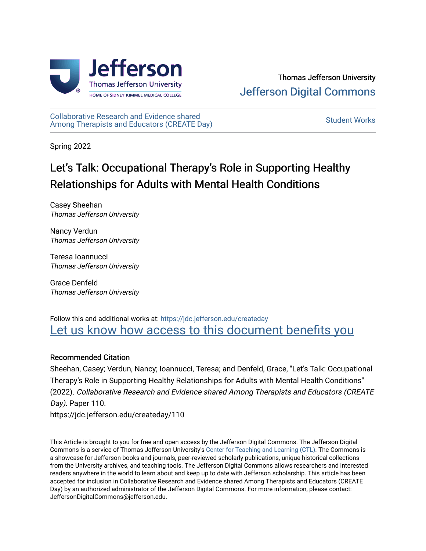

[Collaborative Research and Evidence shared](https://jdc.jefferson.edu/createday)  Conaborative Research and Evidence shared<br>[Among Therapists and Educators \(CREATE Day\)](https://jdc.jefferson.edu/createday) Student Works

Spring 2022

# Let's Talk: Occupational Therapy's Role in Supporting Healthy Relationships for Adults with Mental Health Conditions

Casey Sheehan Thomas Jefferson University

Nancy Verdun Thomas Jefferson University

Teresa Ioannucci Thomas Jefferson University

Grace Denfeld Thomas Jefferson University

## Follow this and additional works at: [https://jdc.jefferson.edu/createday](https://jdc.jefferson.edu/createday?utm_source=jdc.jefferson.edu%2Fcreateday%2F110&utm_medium=PDF&utm_campaign=PDFCoverPages) [Let us know how access to this document benefits you](https://library.jefferson.edu/forms/jdc/index.cfm)

## Recommended Citation

Sheehan, Casey; Verdun, Nancy; Ioannucci, Teresa; and Denfeld, Grace, "Let's Talk: Occupational Therapy's Role in Supporting Healthy Relationships for Adults with Mental Health Conditions" (2022). Collaborative Research and Evidence shared Among Therapists and Educators (CREATE Day). Paper 110.

https://jdc.jefferson.edu/createday/110

This Article is brought to you for free and open access by the Jefferson Digital Commons. The Jefferson Digital Commons is a service of Thomas Jefferson University's [Center for Teaching and Learning \(CTL\)](http://www.jefferson.edu/university/teaching-learning.html/). The Commons is a showcase for Jefferson books and journals, peer-reviewed scholarly publications, unique historical collections from the University archives, and teaching tools. The Jefferson Digital Commons allows researchers and interested readers anywhere in the world to learn about and keep up to date with Jefferson scholarship. This article has been accepted for inclusion in Collaborative Research and Evidence shared Among Therapists and Educators (CREATE Day) by an authorized administrator of the Jefferson Digital Commons. For more information, please contact: JeffersonDigitalCommons@jefferson.edu.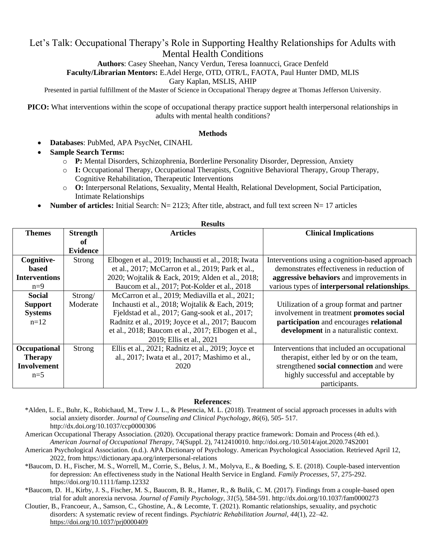## Let's Talk: Occupational Therapy's Role in Supporting Healthy Relationships for Adults with Mental Health Conditions

**Authors**: Casey Sheehan, Nancy Verdun, Teresa Ioannucci, Grace Denfeld

**Faculty/Librarian Mentors:** E.Adel Herge, OTD, OTR/L, FAOTA, Paul Hunter DMD, MLIS

Gary Kaplan, MSLIS, AHIP

Presented in partial fulfillment of the Master of Science in Occupational Therapy degree at Thomas Jefferson University.

**PICO:** What interventions within the scope of occupational therapy practice support health interpersonal relationships in adults with mental health conditions?

### **Methods**

- **Databases**: PubMed, APA PsycNet, CINAHL
- **Sample Search Terms:**
	- o **P:** Mental Disorders, Schizophrenia, Borderline Personality Disorder, Depression, Anxiety
	- o **I:** Occupational Therapy, Occupational Therapists, Cognitive Behavioral Therapy, Group Therapy, Cognitive Rehabilitation, Therapeutic Interventions
	- o **O:** Interpersonal Relations, Sexuality, Mental Health, Relational Development, Social Participation, Intimate Relationships
- **Number of articles:** Initial Search: N= 2123; After title, abstract, and full text screen N= 17 articles

| <b>вления</b>        |                 |                                                     |                                                |
|----------------------|-----------------|-----------------------------------------------------|------------------------------------------------|
| <b>Themes</b>        | <b>Strength</b> | <b>Articles</b>                                     | <b>Clinical Implications</b>                   |
|                      | оf              |                                                     |                                                |
|                      | <b>Evidence</b> |                                                     |                                                |
|                      |                 |                                                     |                                                |
| Cognitive-           | Strong          | Elbogen et al., 2019; Inchausti et al., 2018; Iwata | Interventions using a cognition-based approach |
| based                |                 | et al., 2017; McCarron et al., 2019; Park et al.,   | demonstrates effectiveness in reduction of     |
| <b>Interventions</b> |                 | 2020; Wojtalik & Eack, 2019; Alden et al., 2018;    | aggressive behaviors and improvements in       |
| $n=9$                |                 | Baucom et al., 2017; Pot-Kolder et al., 2018        | various types of interpersonal relationships.  |
| <b>Social</b>        | Strong/         | McCarron et al., 2019; Mediavilla et al., 2021;     |                                                |
| <b>Support</b>       | Moderate        | Inchausti et al., 2018; Wojtalik & Each, 2019;      | Utilization of a group format and partner      |
| <b>Systems</b>       |                 | Fjeldstad et al., 2017; Gang-sook et al., 2017;     | involvement in treatment promotes social       |
| $n=12$               |                 | Radnitz et al., 2019; Joyce et al., 2017; Baucom    | participation and encourages relational        |
|                      |                 | et al., 2018; Baucom et al., 2017; Elbogen et al.,  | development in a naturalistic context.         |
|                      |                 | 2019; Ellis et al., 2021                            |                                                |
| Occupational         | Strong          | Ellis et al., 2021; Radnitz et al., 2019; Joyce et  | Interventions that included an occupational    |
| <b>Therapy</b>       |                 | al., 2017; Iwata et al., 2017; Mashimo et al.,      | therapist, either led by or on the team,       |
| <b>Involvement</b>   |                 | 2020                                                | strengthened social connection and were        |
| $n=5$                |                 |                                                     | highly successful and acceptable by            |
|                      |                 |                                                     | participants.                                  |

### **References**:

\*Alden, L. E., Buhr, K., Robichaud, M., Trew J. L., & Plesencia, M. L. (2018). Treatment of social approach processes in adults with social anxiety disorder. *Journal of Counseling and Clinical Psychology, 86*(6), 505- 517. http://dx.doi.org/10.1037/ccp0000306

American Occupational Therapy Association. (2020). Occupational therapy practice framework: Domain and Process (4th ed.). *American Journal of Occupational Therapy*, 74(Suppl. 2), 7412410010. http://doi.org./10.5014/ajot.2020.74S2001

- American Psychological Association. (n.d.). APA Dictionary of Psychology. American Psychological Association. Retrieved April 12, 2022, from https://dictionary.apa.org/interpersonal-relations
- \*Baucom, D. H., Fischer, M. S., Worrell, M., Corrie, S., Belus, J. M., Molyva, E., & Boeding, S. E. (2018). Couple-based intervention for depression: An effectiveness study in the National Health Service in England. *Family Processes*, 57, 275-292. https://doi.org/10.1111/famp.12332

\*Baucom, D. H., Kirby, J. S., Fischer, M. S., Baucom, B. R., Hamer, R., & Bulik, C. M. (2017). Findings from a couple-based open trial for adult anorexia nervosa. *Journal of Family Psychology, 31*(5), 584-591. http://dx.doi.org/10.1037/fam0000273

Cloutier, B., Francoeur, A., Samson, C., Ghostine, A., & Lecomte, T. (2021). Romantic relationships, sexuality, and psychotic disorders: A systematic review of recent findings. *Psychiatric Rehabilitation Journal, 44*(1), 22–42. [https://doi.org/10.1037/prj0000409](https://psycnet.apa.org/doi/10.1037/prj0000409)

#### **Results**